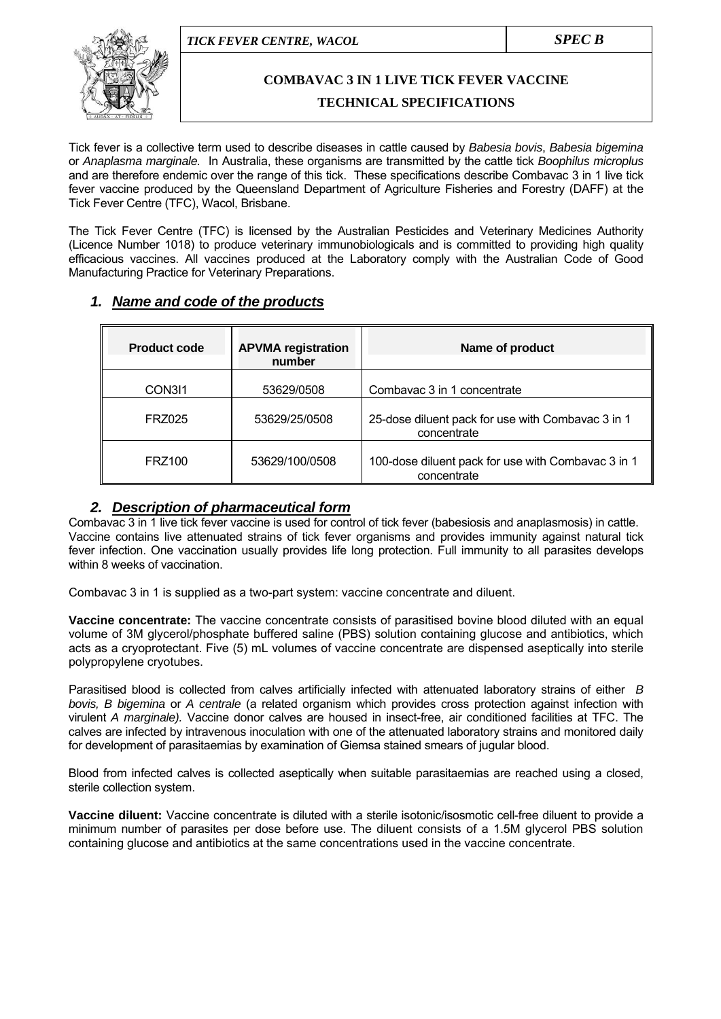

# **COMBAVAC 3 IN 1 LIVE TICK FEVER VACCINE**

#### **TECHNICAL SPECIFICATIONS**

Tick fever is a collective term used to describe diseases in cattle caused by *Babesia bovis*, *Babesia bigemina* or *Anaplasma marginale.* In Australia, these organisms are transmitted by the cattle tick *Boophilus microplus*  and are therefore endemic over the range of this tick. These specifications describe Combavac 3 in 1 live tick fever vaccine produced by the Queensland Department of Agriculture Fisheries and Forestry (DAFF) at the Tick Fever Centre (TFC), Wacol, Brisbane.

The Tick Fever Centre (TFC) is licensed by the Australian Pesticides and Veterinary Medicines Authority (Licence Number 1018) to produce veterinary immunobiologicals and is committed to providing high quality efficacious vaccines. All vaccines produced at the Laboratory comply with the Australian Code of Good Manufacturing Practice for Veterinary Preparations.

| 1. Name and code of the products |
|----------------------------------|
|----------------------------------|

| <b>Product code</b> | <b>APVMA registration</b><br>number | Name of product                                                   |
|---------------------|-------------------------------------|-------------------------------------------------------------------|
| CON311              | 53629/0508                          | Combavac 3 in 1 concentrate                                       |
| FRZ025              | 53629/25/0508                       | 25-dose diluent pack for use with Combavac 3 in 1<br>concentrate  |
| <b>FRZ100</b>       | 53629/100/0508                      | 100-dose diluent pack for use with Combavac 3 in 1<br>concentrate |

#### *2. Description of pharmaceutical form*

Combavac 3 in 1 live tick fever vaccine is used for control of tick fever (babesiosis and anaplasmosis) in cattle. Vaccine contains live attenuated strains of tick fever organisms and provides immunity against natural tick fever infection. One vaccination usually provides life long protection. Full immunity to all parasites develops within 8 weeks of vaccination.

Combavac 3 in 1 is supplied as a two-part system: vaccine concentrate and diluent.

**Vaccine concentrate:** The vaccine concentrate consists of parasitised bovine blood diluted with an equal volume of 3M glycerol/phosphate buffered saline (PBS) solution containing glucose and antibiotics, which acts as a cryoprotectant. Five (5) mL volumes of vaccine concentrate are dispensed aseptically into sterile polypropylene cryotubes.

Parasitised blood is collected from calves artificially infected with attenuated laboratory strains of either *B bovis, B bigemina* or *A centrale* (a related organism which provides cross protection against infection with virulent *A marginale).* Vaccine donor calves are housed in insect-free, air conditioned facilities at TFC. The calves are infected by intravenous inoculation with one of the attenuated laboratory strains and monitored daily for development of parasitaemias by examination of Giemsa stained smears of jugular blood.

Blood from infected calves is collected aseptically when suitable parasitaemias are reached using a closed, sterile collection system.

**Vaccine diluent:** Vaccine concentrate is diluted with a sterile isotonic/isosmotic cell-free diluent to provide a minimum number of parasites per dose before use. The diluent consists of a 1.5M glycerol PBS solution containing glucose and antibiotics at the same concentrations used in the vaccine concentrate.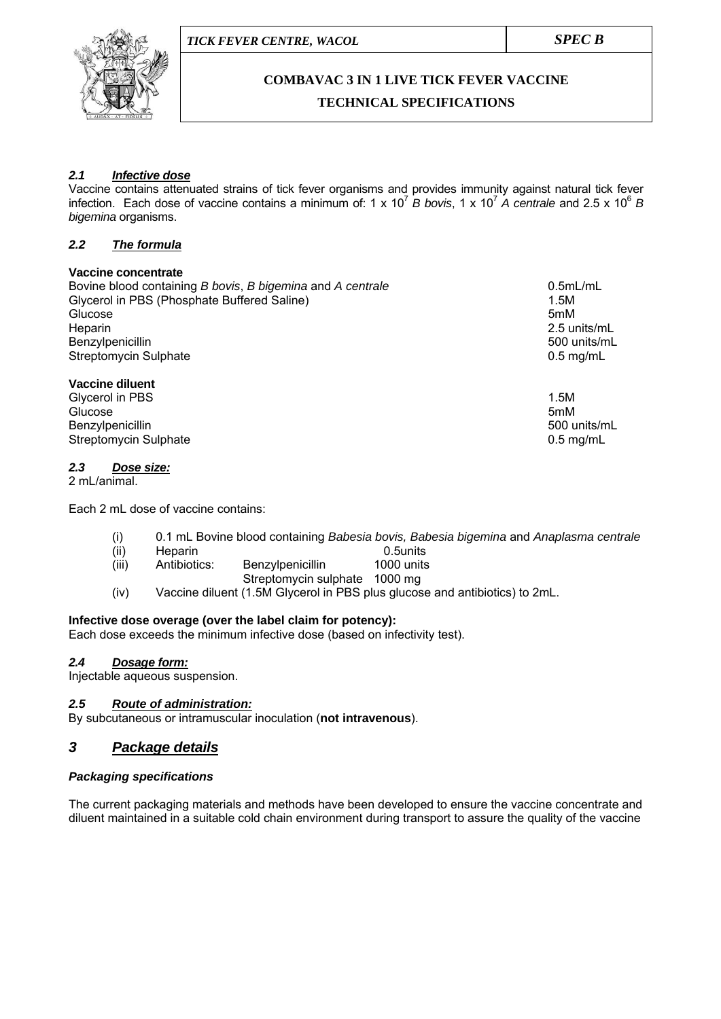

# **COMBAVAC 3 IN 1 LIVE TICK FEVER VACCINE TECHNICAL SPECIFICATIONS**

#### *2.1 Infective dose*

Vaccine contains attenuated strains of tick fever organisms and provides immunity against natural tick fever infection. Each dose of vaccine contains a minimum of: 1 x 10<sup>7</sup> *B bovis*, 1 x 10<sup>7</sup> *A centrale* and 2.5 x 10<sup>6</sup> *B bigemina* organisms.

#### *2.2 The formula*

#### **Vaccine concentrate**

Bovine blood containing *B bovis*, *B bigemina* and *A centrale* 0.5mL/mL Glycerol in PBS (Phosphate Buffered Saline) 1.5M<br>Glucose 1.5M Glucose 5mM Heparin 2.5 units/mL Benzylpenicillin 500 units/mL Streptomycin Sulphate 0.5 mg/mL

#### **Vaccine diluent**

Glycerol in PBS 1.5M Glucose 5mM Benzylpenicillin 500 units/mL Streptomycin Sulphate 0.5 mg/mL

#### *2.3 Dose size:*

2 mL/animal.

Each 2 mL dose of vaccine contains:

- (i) 0.1 mL Bovine blood containing *Babesia bovis, Babesia bigemina* and *Anaplasma centrale*
- (ii) Heparin 0.5units<br>(iii) Antibiotics: Benzylpenicillin 1000-units (iii) Antibiotics: Benzylpenicillin
- Streptomycin sulphate 1000 mg
- (iv) Vaccine diluent (1.5M Glycerol in PBS plus glucose and antibiotics) to 2mL.

#### **Infective dose overage (over the label claim for potency):**

Each dose exceeds the minimum infective dose (based on infectivity test).

#### *2.4 Dosage form:*

Injectable aqueous suspension.

#### *2.5 Route of administration:*

By subcutaneous or intramuscular inoculation (**not intravenous**).

# *3 Package details*

#### *Packaging specifications*

The current packaging materials and methods have been developed to ensure the vaccine concentrate and diluent maintained in a suitable cold chain environment during transport to assure the quality of the vaccine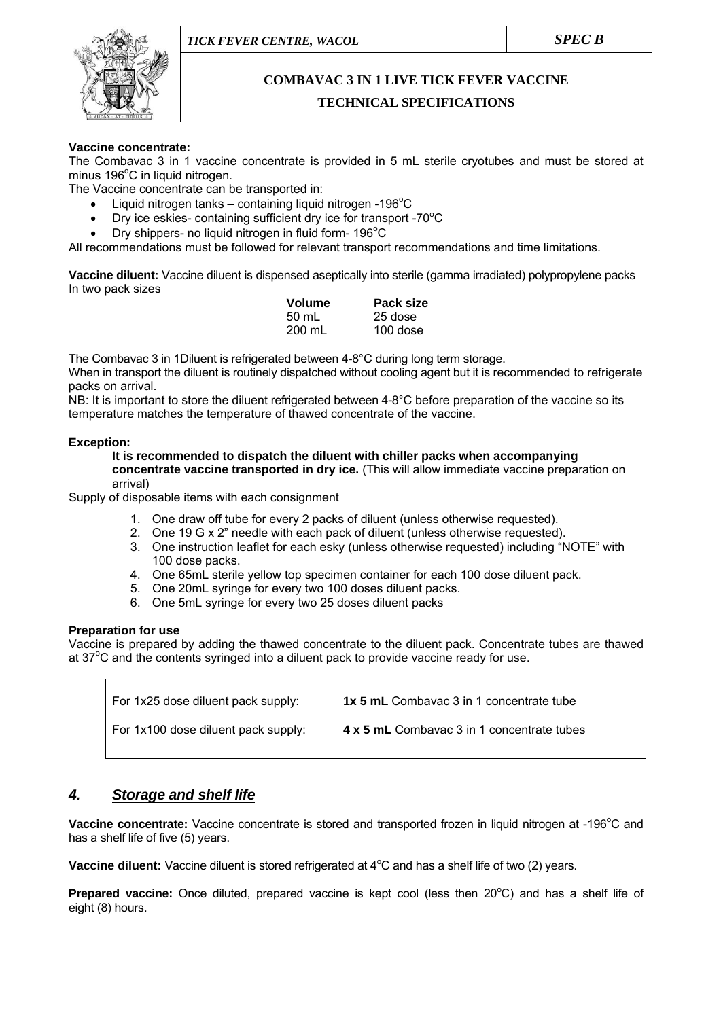

# **COMBAVAC 3 IN 1 LIVE TICK FEVER VACCINE**

# **TECHNICAL SPECIFICATIONS**

#### **Vaccine concentrate:**

The Combavac 3 in 1 vaccine concentrate is provided in 5 mL sterile cryotubes and must be stored at minus 196°C in liquid nitrogen.

The Vaccine concentrate can be transported in:

- Liquid nitrogen tanks containing liquid nitrogen -196 $\mathrm{^{\circ}C}$
- Dry ice eskies- containing sufficient dry ice for transport -70 $^{\circ}$ C
- Dry shippers- no liquid nitrogen in fluid form-  $196^{\circ}$ C

All recommendations must be followed for relevant transport recommendations and time limitations.

**Vaccine diluent:** Vaccine diluent is dispensed aseptically into sterile (gamma irradiated) polypropylene packs In two pack sizes

| <b>Volume</b> | Pack size |
|---------------|-----------|
| 50 mL         | 25 dose   |
| 200 mL        | 100 dose  |

The Combavac 3 in 1Diluent is refrigerated between 4-8°C during long term storage. When in transport the diluent is routinely dispatched without cooling agent but it is recommended to refrigerate packs on arrival.

NB: It is important to store the diluent refrigerated between 4-8°C before preparation of the vaccine so its temperature matches the temperature of thawed concentrate of the vaccine.

#### **Exception:**

**It is recommended to dispatch the diluent with chiller packs when accompanying concentrate vaccine transported in dry ice.** (This will allow immediate vaccine preparation on arrival)

Supply of disposable items with each consignment

- 1. One draw off tube for every 2 packs of diluent (unless otherwise requested).
- 2. One 19 G x 2" needle with each pack of diluent (unless otherwise requested).
- 3. One instruction leaflet for each esky (unless otherwise requested) including "NOTE" with 100 dose packs.
- 4. One 65mL sterile yellow top specimen container for each 100 dose diluent pack.
- 5. One 20mL syringe for every two 100 doses diluent packs.
- 6. One 5mL syringe for every two 25 doses diluent packs

#### **Preparation for use**

Vaccine is prepared by adding the thawed concentrate to the diluent pack. Concentrate tubes are thawed at  $37^{\circ}$ C and the contents syringed into a diluent pack to provide vaccine ready for use.

| For 1x25 dose diluent pack supply:  | <b>1x 5 mL</b> Combavac 3 in 1 concentrate tube |
|-------------------------------------|-------------------------------------------------|
| For 1x100 dose diluent pack supply: | 4 x 5 mL Combavac 3 in 1 concentrate tubes      |

# *4. Storage and shelf life*

Vaccine concentrate: Vaccine concentrate is stored and transported frozen in liquid nitrogen at -196°C and has a shelf life of five (5) years.

Vaccine diluent: Vaccine diluent is stored refrigerated at 4<sup>o</sup>C and has a shelf life of two (2) years.

Prepared vaccine: Once diluted, prepared vaccine is kept cool (less then 20°C) and has a shelf life of eight (8) hours.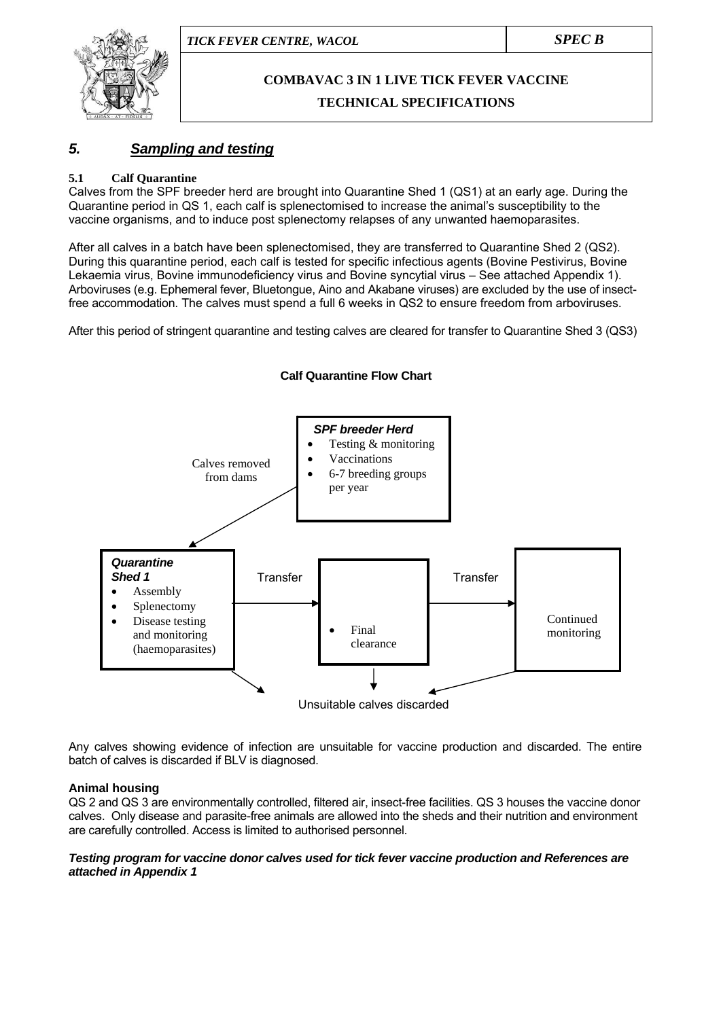

# **COMBAVAC 3 IN 1 LIVE TICK FEVER VACCINE TECHNICAL SPECIFICATIONS**

# *5. Sampling and testing*

#### **5.1 Calf Quarantine**

Calves from the SPF breeder herd are brought into Quarantine Shed 1 (QS1) at an early age. During the Quarantine period in QS 1, each calf is splenectomised to increase the animal's susceptibility to the vaccine organisms, and to induce post splenectomy relapses of any unwanted haemoparasites.

After all calves in a batch have been splenectomised, they are transferred to Quarantine Shed 2 (QS2). During this quarantine period, each calf is tested for specific infectious agents (Bovine Pestivirus, Bovine Lekaemia virus, Bovine immunodeficiency virus and Bovine syncytial virus – See attached Appendix 1). Arboviruses (e.g. Ephemeral fever, Bluetongue, Aino and Akabane viruses) are excluded by the use of insectfree accommodation. The calves must spend a full 6 weeks in QS2 to ensure freedom from arboviruses.

After this period of stringent quarantine and testing calves are cleared for transfer to Quarantine Shed 3 (QS3)



Any calves showing evidence of infection are unsuitable for vaccine production and discarded. The entire batch of calves is discarded if BLV is diagnosed.

#### **Animal housing**

QS 2 and QS 3 are environmentally controlled, filtered air, insect-free facilities. QS 3 houses the vaccine donor calves. Only disease and parasite-free animals are allowed into the sheds and their nutrition and environment are carefully controlled. Access is limited to authorised personnel.

#### *Testing program for vaccine donor calves used for tick fever vaccine production and References are attached in Appendix 1*

#### **Calf Quarantine Flow Chart**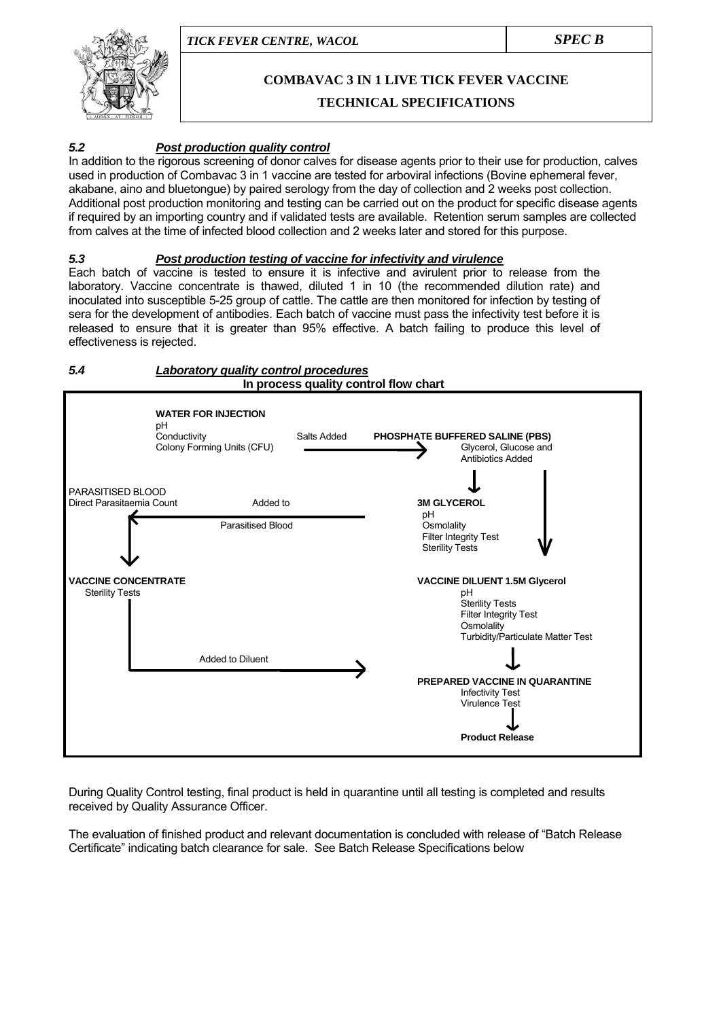

# **COMBAVAC 3 IN 1 LIVE TICK FEVER VACCINE**

### **TECHNICAL SPECIFICATIONS**

#### *5.2 Post production quality control*

In addition to the rigorous screening of donor calves for disease agents prior to their use for production, calves used in production of Combavac 3 in 1 vaccine are tested for arboviral infections (Bovine ephemeral fever, akabane, aino and bluetongue) by paired serology from the day of collection and 2 weeks post collection. Additional post production monitoring and testing can be carried out on the product for specific disease agents if required by an importing country and if validated tests are available. Retention serum samples are collected from calves at the time of infected blood collection and 2 weeks later and stored for this purpose.

#### *5.3 Post production testing of vaccine for infectivity and virulence*

Each batch of vaccine is tested to ensure it is infective and avirulent prior to release from the laboratory. Vaccine concentrate is thawed, diluted 1 in 10 (the recommended dilution rate) and inoculated into susceptible 5-25 group of cattle. The cattle are then monitored for infection by testing of sera for the development of antibodies. Each batch of vaccine must pass the infectivity test before it is released to ensure that it is greater than 95% effective. A batch failing to produce this level of effectiveness is rejected.

#### *5.4 Laboratory quality control procedures*  **In process quality control flow chart**



During Quality Control testing, final product is held in quarantine until all testing is completed and results received by Quality Assurance Officer.

The evaluation of finished product and relevant documentation is concluded with release of "Batch Release Certificate" indicating batch clearance for sale. See Batch Release Specifications below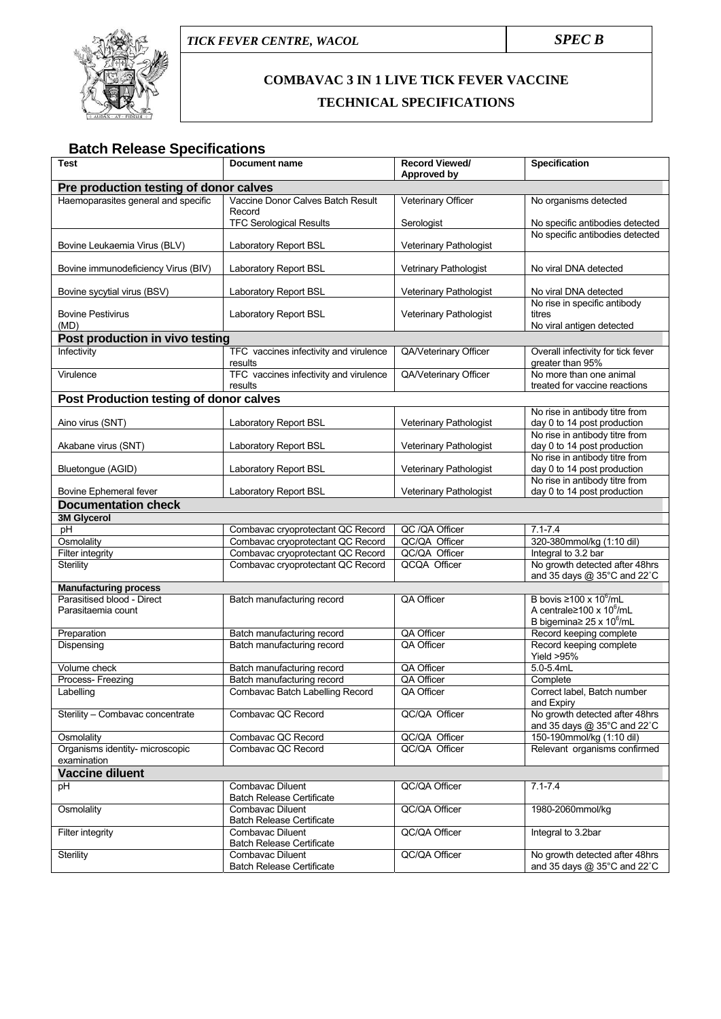



# **COMBAVAC 3 IN 1 LIVE TICK FEVER VACCINE TECHNICAL SPECIFICATIONS**

# **Batch Release Specifications**

| Test                                                       | <b>Document name</b>                                                   | <b>Record Viewed/</b>         | <b>Specification</b>                                                                |  |
|------------------------------------------------------------|------------------------------------------------------------------------|-------------------------------|-------------------------------------------------------------------------------------|--|
|                                                            |                                                                        | Approved by                   |                                                                                     |  |
| Pre production testing of donor calves                     |                                                                        |                               |                                                                                     |  |
| Haemoparasites general and specific                        | Vaccine Donor Calves Batch Result<br>Record                            | Veterinary Officer            | No organisms detected                                                               |  |
|                                                            | <b>TFC Serological Results</b>                                         | Serologist                    | No specific antibodies detected                                                     |  |
| Bovine Leukaemia Virus (BLV)                               | Laboratory Report BSL                                                  | Veterinary Pathologist        | No specific antibodies detected                                                     |  |
| Bovine immunodeficiency Virus (BIV)                        | Laboratory Report BSL                                                  | Vetrinary Pathologist         | No viral DNA detected                                                               |  |
| Bovine sycytial virus (BSV)                                | Laboratory Report BSL                                                  | Veterinary Pathologist        | No viral DNA detected                                                               |  |
| <b>Bovine Pestivirus</b><br>(MD)                           | Laboratory Report BSL                                                  | Veterinary Pathologist        | No rise in specific antibody<br>titres<br>No viral antigen detected                 |  |
| Post production in vivo testing                            |                                                                        |                               |                                                                                     |  |
| Infectivity                                                | TFC vaccines infectivity and virulence<br>results                      | QA/Veterinary Officer         | Overall infectivity for tick fever<br>greater than 95%                              |  |
| Virulence                                                  | TFC vaccines infectivity and virulence<br>results                      | QA/Veterinary Officer         | No more than one animal<br>treated for vaccine reactions                            |  |
| Post Production testing of donor calves                    |                                                                        |                               |                                                                                     |  |
| Aino virus (SNT)                                           | Laboratory Report BSL                                                  | Veterinary Pathologist        | No rise in antibody titre from<br>day 0 to 14 post production                       |  |
| Akabane virus (SNT)                                        | Laboratory Report BSL                                                  | Veterinary Pathologist        | No rise in antibody titre from<br>day 0 to 14 post production                       |  |
| Bluetongue (AGID)                                          | Laboratory Report BSL                                                  | Veterinary Pathologist        | No rise in antibody titre from<br>day 0 to 14 post production                       |  |
| Bovine Ephemeral fever                                     | Laboratory Report BSL                                                  | Veterinary Pathologist        | No rise in antibody titre from<br>day 0 to 14 post production                       |  |
| <b>Documentation check</b>                                 |                                                                        |                               |                                                                                     |  |
| <b>3M Glycerol</b>                                         |                                                                        |                               |                                                                                     |  |
| pH                                                         | Combavac cryoprotectant QC Record                                      | QC /QA Officer                | $7.1 - 7.4$                                                                         |  |
| Osmolality                                                 | Combavac cryoprotectant QC Record                                      | QC/QA Officer                 | 320-380mmol/kg (1:10 dil)                                                           |  |
| <b>Filter integrity</b><br>Sterility                       | Combavac cryoprotectant QC Record<br>Combavac cryoprotectant QC Record | QC/QA Officer<br>QCQA Officer | Integral to 3.2 bar<br>No growth detected after 48hrs                               |  |
|                                                            |                                                                        |                               | and 35 days @ 35°C and 22°C                                                         |  |
| <b>Manufacturing process</b><br>Parasitised blood - Direct |                                                                        |                               | B bovis $\geq 100 \times 10^6$ /mL                                                  |  |
| Parasitaemia count                                         | Batch manufacturing record                                             | QA Officer                    | A centrale $\geq 100 \times 10^6$ /mL<br>B bigemina $\geq$ 25 x 10 <sup>6</sup> /mL |  |
| Preparation                                                | Batch manufacturing record                                             | QA Officer                    | Record keeping complete                                                             |  |
| Dispensing                                                 | Batch manufacturing record                                             | QA Officer                    | Record keeping complete<br>Yield $>95%$                                             |  |
| Volume check                                               | Batch manufacturing record                                             | QA Officer                    | $5.0 - 5.4$ mL                                                                      |  |
| Process- Freezing                                          | Batch manufacturing record                                             | QA Officer                    | Complete                                                                            |  |
| Labelling                                                  | Combavac Batch Labelling Record                                        | QA Officer                    | Correct label, Batch number<br>and Expiry                                           |  |
| Sterility - Combavac concentrate                           | Combavac QC Record                                                     | QC/QA Officer                 | No growth detected after 48hrs<br>and 35 days @ 35°C and 22°C                       |  |
| Osmolality                                                 | Combavac QC Record                                                     | QC/QA Officer                 | 150-190mmol/kg (1:10 dil)                                                           |  |
| Organisms identity- microscopic<br>examination             | Combavac QC Record                                                     | QC/QA Officer                 | Relevant organisms confirmed                                                        |  |
| <b>Vaccine diluent</b>                                     |                                                                        |                               |                                                                                     |  |
| рH                                                         | Combavac Diluent<br><b>Batch Release Certificate</b>                   | QC/QA Officer                 | $7.1 - 7.4$                                                                         |  |
| Osmolality                                                 | Combavac Diluent<br><b>Batch Release Certificate</b>                   | QC/QA Officer                 | 1980-2060mmol/kg                                                                    |  |
| Filter integrity                                           | Combavac Diluent<br><b>Batch Release Certificate</b>                   | QC/QA Officer                 | Integral to 3.2bar                                                                  |  |
| Sterility                                                  | Combavac Diluent<br><b>Batch Release Certificate</b>                   | QC/QA Officer                 | No growth detected after 48hrs<br>and 35 days $@$ 35 $°C$ and 22 $°C$               |  |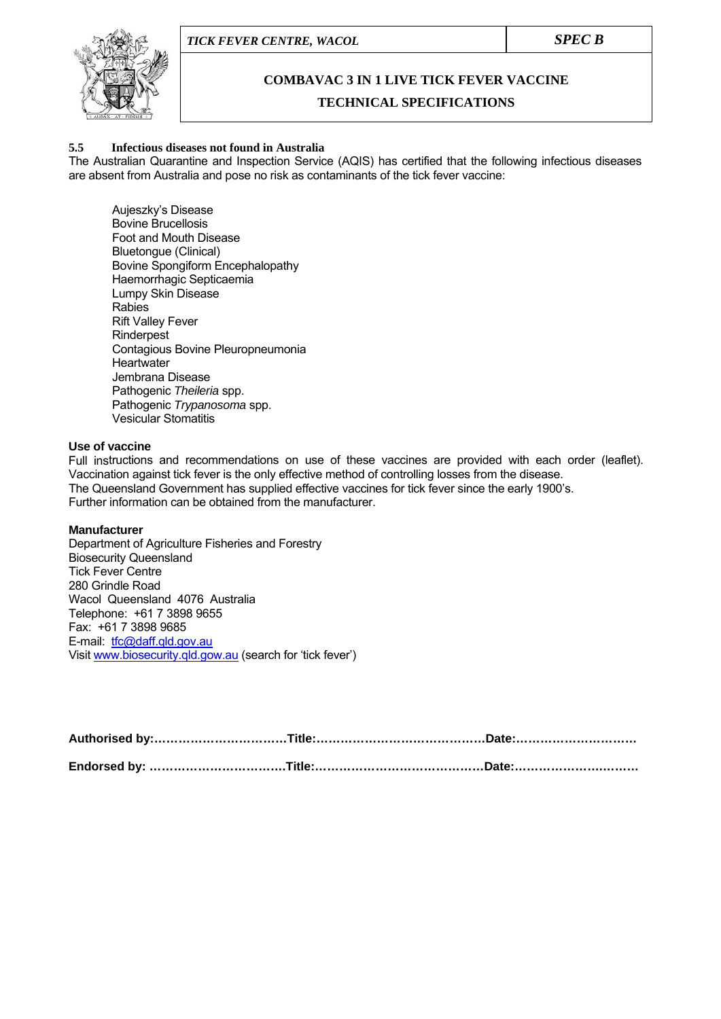

### **COMBAVAC 3 IN 1 LIVE TICK FEVER VACCINE**

#### **TECHNICAL SPECIFICATIONS**

#### **5.5 Infectious diseases not found in Australia**

The Australian Quarantine and Inspection Service (AQIS) has certified that the following infectious diseases are absent from Australia and pose no risk as contaminants of the tick fever vaccine:

 Aujeszky's Disease Bovine Brucellosis Foot and Mouth Disease Bluetongue (Clinical) Bovine Spongiform Encephalopathy Haemorrhagic Septicaemia Lumpy Skin Disease Rabies Rift Valley Fever Rinderpest Contagious Bovine Pleuropneumonia **Heartwater**  Jembrana Disease Pathogenic *Theileria* spp. Pathogenic *Trypanosoma* spp. Vesicular Stomatitis

#### **Use of vaccine**

Full instructions and recommendations on use of these vaccines are provided with each order (leaflet). Vaccination against tick fever is the only effective method of controlling losses from the disease. The Queensland Government has supplied effective vaccines for tick fever since the early 1900's. Further information can be obtained from the manufacturer.

#### **Manufacturer**

Department of Agriculture Fisheries and Forestry Biosecurity Queensland Tick Fever Centre 280 Grindle Road Wacol Queensland 4076 Australia Telephone: +61 7 3898 9655 Fax: +61 7 3898 9685 E-mail: [tfc@daff.qld.gov.au](mailto:tfc@daff.qld.gov.au) Visit [www.biosecurity.qld.gow.au](http://www.biosecurity.qld.gow.au/) (search for 'tick fever')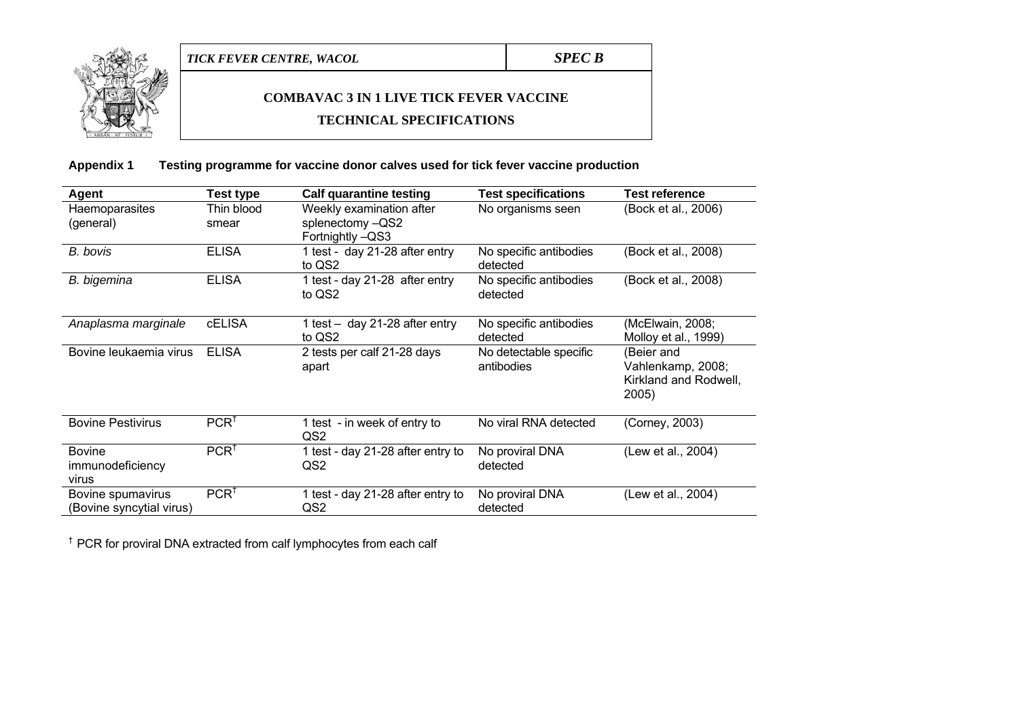

# **COMBAVAC 3 IN 1 LIVE TICK FEVER VACCINE**

#### **TECHNICAL SPECIFICATIONS**

**Appendix 1 Testing programme for vaccine donor calves used for tick fever vaccine production** 

| Agent                                         | Test type           | <b>Calf quarantine testing</b>                                   | <b>Test specifications</b>           | <b>Test reference</b>                                             |
|-----------------------------------------------|---------------------|------------------------------------------------------------------|--------------------------------------|-------------------------------------------------------------------|
| Haemoparasites<br>(general)                   | Thin blood<br>smear | Weekly examination after<br>splenectomy -QS2<br>Fortnightly -QS3 | No organisms seen                    | (Bock et al., 2006)                                               |
| B. bovis                                      | <b>ELISA</b>        | 1 test - day 21-28 after entry<br>to QS2                         | No specific antibodies<br>detected   | (Bock et al., 2008)                                               |
| B. bigemina                                   | <b>ELISA</b>        | 1 test - day 21-28 after entry<br>to QS2                         | No specific antibodies<br>detected   | (Bock et al., 2008)                                               |
| Anaplasma marginale                           | <b>cELISA</b>       | 1 test - day 21-28 after entry<br>to QS2                         | No specific antibodies<br>detected   | (McElwain, 2008;<br>Molloy et al., 1999)                          |
| Bovine leukaemia virus                        | <b>ELISA</b>        | 2 tests per calf 21-28 days<br>apart                             | No detectable specific<br>antibodies | (Beier and<br>Vahlenkamp, 2008;<br>Kirkland and Rodwell,<br>2005) |
| <b>Bovine Pestivirus</b>                      | PCR <sup>†</sup>    | 1 test - in week of entry to<br>QS2                              | No viral RNA detected                | (Corney, 2003)                                                    |
| <b>Bovine</b><br>immunodeficiency<br>virus    | PCR <sup>†</sup>    | 1 test - day 21-28 after entry to<br>QS2                         | No proviral DNA<br>detected          | (Lew et al., 2004)                                                |
| Bovine spumavirus<br>(Bovine syncytial virus) | PCR <sup>†</sup>    | 1 test - day 21-28 after entry to<br>QS2                         | No proviral DNA<br>detected          | (Lew et al., 2004)                                                |

<sup>†</sup> PCR for proviral DNA extracted from calf lymphocytes from each calf